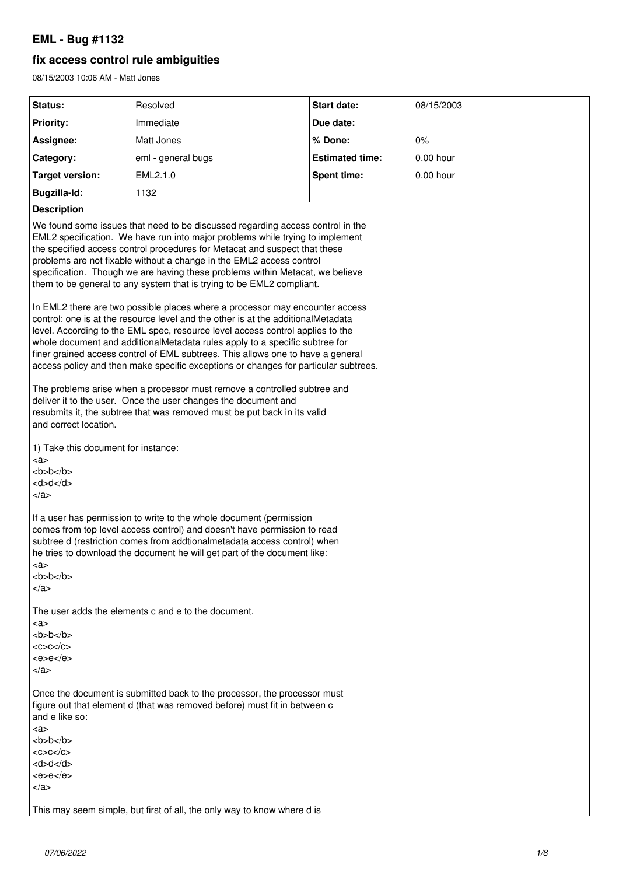# **EML - Bug #1132**

## **fix access control rule ambiguities**

08/15/2003 10:06 AM - Matt Jones

| Status:                                                                                                                                                                                                                                                                                                                                                                                                                                                                                                     | Resolved                                                                | <b>Start date:</b>     | 08/15/2003  |  |  |  |
|-------------------------------------------------------------------------------------------------------------------------------------------------------------------------------------------------------------------------------------------------------------------------------------------------------------------------------------------------------------------------------------------------------------------------------------------------------------------------------------------------------------|-------------------------------------------------------------------------|------------------------|-------------|--|--|--|
| <b>Priority:</b>                                                                                                                                                                                                                                                                                                                                                                                                                                                                                            | Immediate                                                               | Due date:              |             |  |  |  |
| Assignee:                                                                                                                                                                                                                                                                                                                                                                                                                                                                                                   | Matt Jones                                                              | % Done:                | $0\%$       |  |  |  |
| Category:                                                                                                                                                                                                                                                                                                                                                                                                                                                                                                   | eml - general bugs                                                      | <b>Estimated time:</b> | 0.00 hour   |  |  |  |
| <b>Target version:</b>                                                                                                                                                                                                                                                                                                                                                                                                                                                                                      | EML2.1.0                                                                | Spent time:            | $0.00$ hour |  |  |  |
| <b>Bugzilla-Id:</b>                                                                                                                                                                                                                                                                                                                                                                                                                                                                                         | 1132                                                                    |                        |             |  |  |  |
| <b>Description</b>                                                                                                                                                                                                                                                                                                                                                                                                                                                                                          |                                                                         |                        |             |  |  |  |
| We found some issues that need to be discussed regarding access control in the<br>EML2 specification. We have run into major problems while trying to implement<br>the specified access control procedures for Metacat and suspect that these<br>problems are not fixable without a change in the EML2 access control<br>specification. Though we are having these problems within Metacat, we believe<br>them to be general to any system that is trying to be EML2 compliant.                             |                                                                         |                        |             |  |  |  |
| In EML2 there are two possible places where a processor may encounter access<br>control: one is at the resource level and the other is at the additionalMetadata<br>level. According to the EML spec, resource level access control applies to the<br>whole document and additionalMetadata rules apply to a specific subtree for<br>finer grained access control of EML subtrees. This allows one to have a general<br>access policy and then make specific exceptions or changes for particular subtrees. |                                                                         |                        |             |  |  |  |
| The problems arise when a processor must remove a controlled subtree and<br>deliver it to the user. Once the user changes the document and<br>resubmits it, the subtree that was removed must be put back in its valid<br>and correct location.                                                                                                                                                                                                                                                             |                                                                         |                        |             |  |  |  |
| 1) Take this document for instance:<br><a><br/>b&gt;b<math>&lt;</math>/b&gt;<br/><d>d</d><br/><math>\langle</math>a&gt;</a>                                                                                                                                                                                                                                                                                                                                                                                 |                                                                         |                        |             |  |  |  |
| If a user has permission to write to the whole document (permission<br>comes from top level access control) and doesn't have permission to read<br>subtree d (restriction comes from addtionalmetadata access control) when<br>he tries to download the document he will get part of the document like:<br><a><br/>b&gt;b<math>&lt;</math>/b&gt;<br/><math>\langle</math>a&gt;</a>                                                                                                                          |                                                                         |                        |             |  |  |  |
|                                                                                                                                                                                                                                                                                                                                                                                                                                                                                                             | The user adds the elements c and e to the document.                     |                        |             |  |  |  |
| <a><br/>b&gt;b<math>&lt;</math>/b&gt;<br/><math>&lt;</math>C&gt;C<math>&lt;</math>/C&gt;<br/><math><e>ee</e></math>/e<br/></a>                                                                                                                                                                                                                                                                                                                                                                              |                                                                         |                        |             |  |  |  |
| Once the document is submitted back to the processor, the processor must<br>figure out that element d (that was removed before) must fit in between c<br>and e like so:<br><a></a>                                                                                                                                                                                                                                                                                                                          |                                                                         |                        |             |  |  |  |
| b>b $<$ /b><br>$<$ C>C $<$ /C>                                                                                                                                                                                                                                                                                                                                                                                                                                                                              |                                                                         |                        |             |  |  |  |
| <d>d</d>                                                                                                                                                                                                                                                                                                                                                                                                                                                                                                    |                                                                         |                        |             |  |  |  |
| $ee$ /e<br>                                                                                                                                                                                                                                                                                                                                                                                                                                                                                                 |                                                                         |                        |             |  |  |  |
|                                                                                                                                                                                                                                                                                                                                                                                                                                                                                                             |                                                                         |                        |             |  |  |  |
|                                                                                                                                                                                                                                                                                                                                                                                                                                                                                                             | This may seem simple, but first of all, the only way to know where d is |                        |             |  |  |  |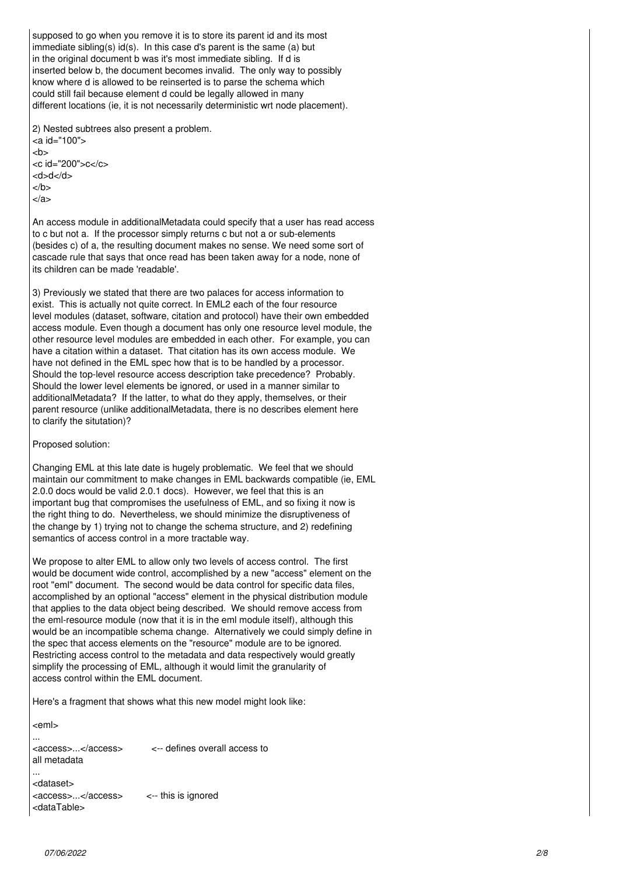supposed to go when you remove it is to store its parent id and its most immediate sibling(s) id(s). In this case d's parent is the same (a) but in the original document b was it's most immediate sibling. If d is inserted below b, the document becomes invalid. The only way to possibly know where d is allowed to be reinserted is to parse the schema which could still fail because element d could be legally allowed in many different locations (ie, it is not necessarily deterministic wrt node placement).

2) Nested subtrees also present a problem. <a id="100">  $$ <c id="200">c</c> <d>d</d>  $<$ /b> </a>

An access module in additionalMetadata could specify that a user has read access to c but not a. If the processor simply returns c but not a or sub-elements (besides c) of a, the resulting document makes no sense. We need some sort of cascade rule that says that once read has been taken away for a node, none of its children can be made 'readable'.

3) Previously we stated that there are two palaces for access information to exist. This is actually not quite correct. In EML2 each of the four resource level modules (dataset, software, citation and protocol) have their own embedded access module. Even though a document has only one resource level module, the other resource level modules are embedded in each other. For example, you can have a citation within a dataset. That citation has its own access module. We have not defined in the EML spec how that is to be handled by a processor. Should the top-level resource access description take precedence? Probably. Should the lower level elements be ignored, or used in a manner similar to additionalMetadata? If the latter, to what do they apply, themselves, or their parent resource (unlike additionalMetadata, there is no describes element here to clarify the situtation)?

Proposed solution:

Changing EML at this late date is hugely problematic. We feel that we should maintain our commitment to make changes in EML backwards compatible (ie, EML 2.0.0 docs would be valid 2.0.1 docs). However, we feel that this is an important bug that compromises the usefulness of EML, and so fixing it now is the right thing to do. Nevertheless, we should minimize the disruptiveness of the change by 1) trying not to change the schema structure, and 2) redefining semantics of access control in a more tractable way.

We propose to alter EML to allow only two levels of access control. The first would be document wide control, accomplished by a new "access" element on the root "eml" document. The second would be data control for specific data files, accomplished by an optional "access" element in the physical distribution module that applies to the data object being described. We should remove access from the eml-resource module (now that it is in the eml module itself), although this would be an incompatible schema change. Alternatively we could simply define in the spec that access elements on the "resource" module are to be ignored. Restricting access control to the metadata and data respectively would greatly simplify the processing of EML, although it would limit the granularity of access control within the EML document.

Here's a fragment that shows what this new model might look like:

<eml> ... <access>...</access> <-- defines overall access to all metadata ... <dataset> <access>...</access> <-- this is ignored <dataTable>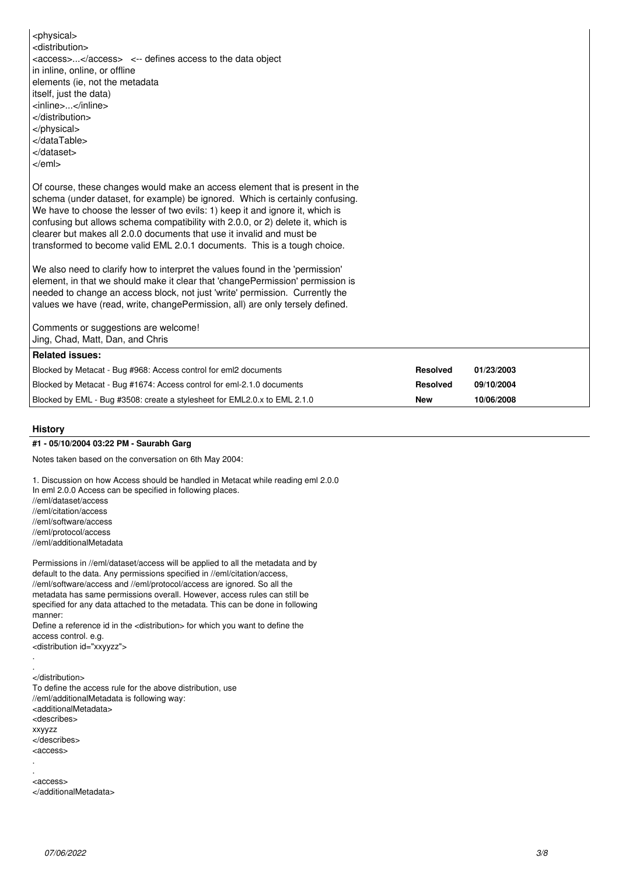<physical> <distribution> <access>...</access> <-- defines access to the data object in inline, online, or offline elements (ie, not the metadata itself, just the data) <inline>...</inline> </distribution> </physical> </dataTable> </dataset> </eml> Of course, these changes would make an access element that is present in the schema (under dataset, for example) be ignored. Which is certainly confusing. We have to choose the lesser of two evils: 1) keep it and ignore it, which is confusing but allows schema compatibility with 2.0.0, or 2) delete it, which is clearer but makes all 2.0.0 documents that use it invalid and must be transformed to become valid EML 2.0.1 documents. This is a tough choice. We also need to clarify how to interpret the values found in the 'permission' element, in that we should make it clear that 'changePermission' permission is needed to change an access block, not just 'write' permission. Currently the values we have (read, write, changePermission, all) are only tersely defined. Comments or suggestions are welcome! Jing, Chad, Matt, Dan, and Chris **Related issues:** Blocked by Metacat - Bug #968: Access control for eml2 documents **Resolved 01/23/2003** Blocked by Metacat - Bug #1674: Access control for eml-2.1.0 documents **Resolved 09/10/2004** Blocked by EML - Bug #3508: create a stylesheet for EML2.0.x to EML 2.1.0 **New 10/06/2008**

## **History**

.

.

## **#1 - 05/10/2004 03:22 PM - Saurabh Garg**

Notes taken based on the conversation on 6th May 2004:

1. Discussion on how Access should be handled in Metacat while reading eml 2.0.0 In eml 2.0.0 Access can be specified in following places. //eml/dataset/access //eml/citation/access

//eml/software/access //eml/protocol/access

//eml/additionalMetadata

Permissions in //eml/dataset/access will be applied to all the metadata and by default to the data. Any permissions specified in //eml/citation/access, //eml/software/access and //eml/protocol/access are ignored. So all the metadata has same permissions overall. However, access rules can still be specified for any data attached to the metadata. This can be done in following manner:

Define a reference id in the <distribution> for which you want to define the access control. e.g. <distribution id="xxyyzz">

. </distribution> To define the access rule for the above distribution, use //eml/additionalMetadata is following way: <additionalMetadata> <describes> xxyyzz </describes> <access>

. <access> </additionalMetadata>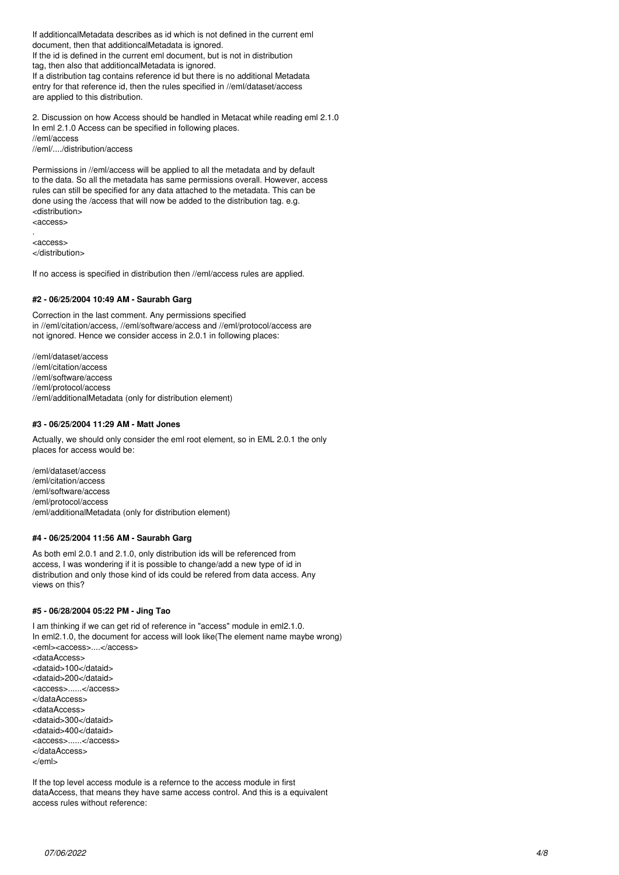If additioncalMetadata describes as id which is not defined in the current eml document, then that additioncalMetadata is ignored. If the id is defined in the current eml document, but is not in distribution tag, then also that additioncalMetadata is ignored. If a distribution tag contains reference id but there is no additional Metadata entry for that reference id, then the rules specified in //eml/dataset/access are applied to this distribution.

2. Discussion on how Access should be handled in Metacat while reading eml 2.1.0 In eml 2.1.0 Access can be specified in following places. //eml/access //eml/..../distribution/access

Permissions in //eml/access will be applied to all the metadata and by default to the data. So all the metadata has same permissions overall. However, access rules can still be specified for any data attached to the metadata. This can be done using the /access that will now be added to the distribution tag. e.g. <distribution> <access>

. <access> </distribution>

If no access is specified in distribution then //eml/access rules are applied.

## **#2 - 06/25/2004 10:49 AM - Saurabh Garg**

Correction in the last comment. Any permissions specified in //eml/citation/access, //eml/software/access and //eml/protocol/access are not ignored. Hence we consider access in 2.0.1 in following places:

//eml/dataset/access //eml/citation/access //eml/software/access //eml/protocol/access //eml/additionalMetadata (only for distribution element)

## **#3 - 06/25/2004 11:29 AM - Matt Jones**

Actually, we should only consider the eml root element, so in EML 2.0.1 the only places for access would be:

/eml/dataset/access /eml/citation/access /eml/software/access /eml/protocol/access /eml/additionalMetadata (only for distribution element)

## **#4 - 06/25/2004 11:56 AM - Saurabh Garg**

As both eml 2.0.1 and 2.1.0, only distribution ids will be referenced from access, I was wondering if it is possible to change/add a new type of id in distribution and only those kind of ids could be refered from data access. Any views on this?

#### **#5 - 06/28/2004 05:22 PM - Jing Tao**

I am thinking if we can get rid of reference in "access" module in eml2.1.0. In eml2.1.0, the document for access will look like(The element name maybe wrong) <eml><access>....</access> <dataAccess> <dataid>100</dataid> <dataid>200</dataid> <access>......</access> </dataAccess> <dataAccess> <dataid>300</dataid> <dataid>400</dataid> <access>......</access> </dataAccess> </eml>

If the top level access module is a refernce to the access module in first dataAccess, that means they have same access control. And this is a equivalent access rules without reference: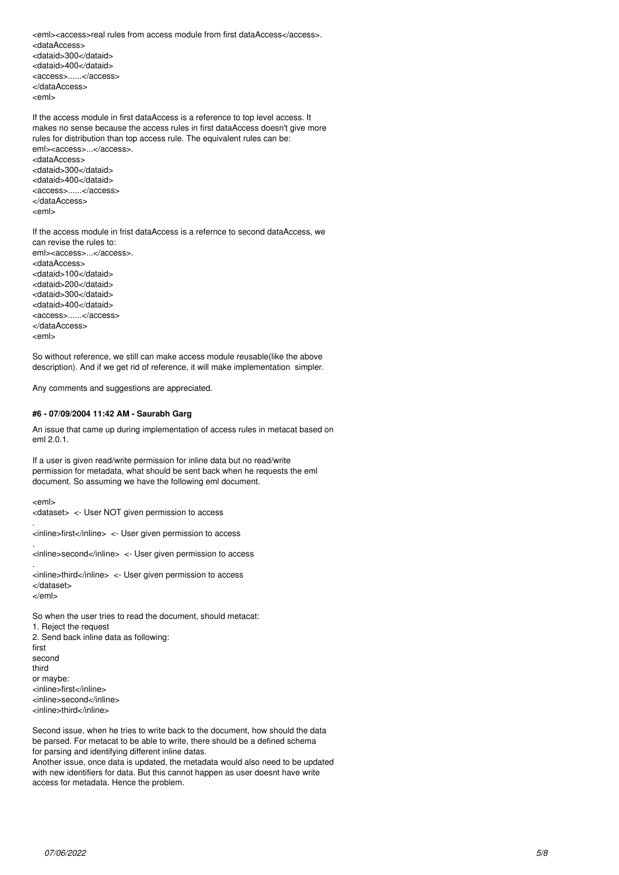<eml><access>real rules from access module from first dataAccess</access>. <dataAccess> <dataid>300</dataid> <dataid>400</dataid> <access>......</access> </dataAccess> <eml>

If the access module in first dataAccess is a reference to top level access. It makes no sense because the access rules in first dataAccess doesn't give more rules for distribution than top access rule. The equivalent rules can be: eml><access>...</access>. <dataAccess>

<dataid>300</dataid> <dataid>400</dataid> <access>......</access> </dataAccess> <eml>

If the access module in frist dataAccess is a refernce to second dataAccess, we can revise the rules to: eml><access>...</access>. <dataAccess> <dataid>100</dataid> <dataid>200</dataid> <dataid>300</dataid> <dataid>400</dataid> <access>......</access> </dataAccess> <eml>

So without reference, we still can make access module reusable(like the above description). And if we get rid of reference, it will make implementation simpler.

Any comments and suggestions are appreciated.

## **#6 - 07/09/2004 11:42 AM - Saurabh Garg**

An issue that came up during implementation of access rules in metacat based on eml 2.0.1.

If a user is given read/write permission for inline data but no read/write permission for metadata, what should be sent back when he requests the eml document. So assuming we have the following eml document.

<eml>

.

.

.

<dataset> <- User NOT given permission to access

<inline>first</inline> <- User given permission to access

<inline>second</inline> <- User given permission to access

<inline>third</inline> <- User given permission to access </dataset> </eml>

So when the user tries to read the document, should metacat: 1. Reject the request 2. Send back inline data as following: first second third or maybe: <inline>first</inline> <inline>second</inline> <inline>third</inline>

Second issue, when he tries to write back to the document, how should the data be parsed. For metacat to be able to write, there should be a defined schema for parsing and identifying different inline datas.

Another issue, once data is updated, the metadata would also need to be updated with new identifiers for data. But this cannot happen as user doesnt have write access for metadata. Hence the problem.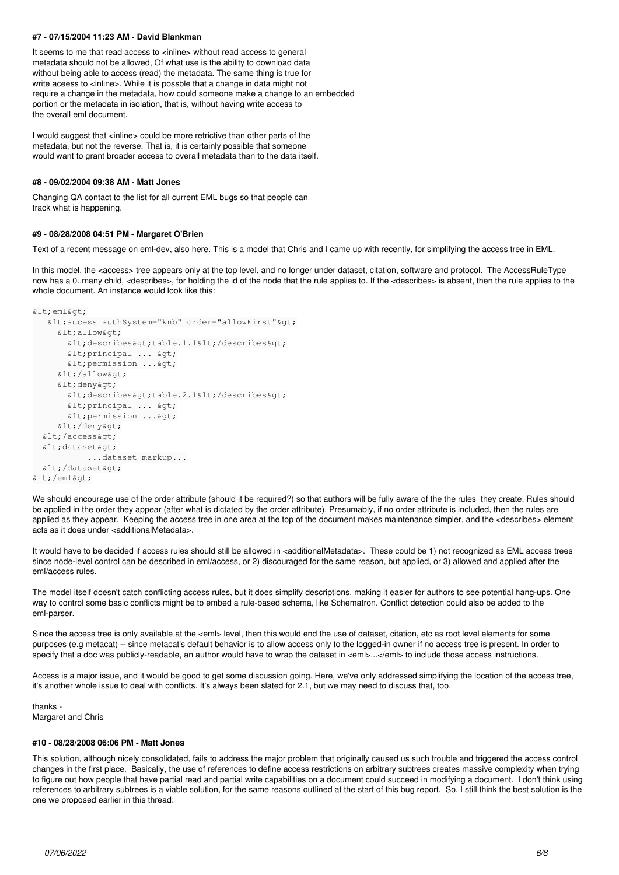## **#7 - 07/15/2004 11:23 AM - David Blankman**

It seems to me that read access to <inline> without read access to general metadata should not be allowed, Of what use is the ability to download data without being able to access (read) the metadata. The same thing is true for write aceess to <inline>. While it is possble that a change in data might not require a change in the metadata, how could someone make a change to an embedded portion or the metadata in isolation, that is, without having write access to the overall eml document.

I would suggest that <inline> could be more retrictive than other parts of the metadata, but not the reverse. That is, it is certainly possible that someone would want to grant broader access to overall metadata than to the data itself.

#### **#8 - 09/02/2004 09:38 AM - Matt Jones**

Changing QA contact to the list for all current EML bugs so that people can track what is happening.

## **#9 - 08/28/2008 04:51 PM - Margaret O'Brien**

Text of a recent message on eml-dev, also here. This is a model that Chris and I came up with recently, for simplifying the access tree in EML.

In this model, the <access> tree appears only at the top level, and no longer under dataset, citation, software and protocol. The AccessRuleType now has a 0..many child, <describes>, for holding the id of the node that the rule applies to. If the <describes> is absent, then the rule applies to the whole document. An instance would look like this:

```
klt; emlkqt;
   dt; access authSystem="knb" order="allowFirst" cgt;
     k]t:allowkgt:
       \text{alt}; describes&qt; table.1.1< / describes&qt;
       \<iprincipal ... \>\<ipermission ...\>&lt:/allow&gt:
     <deny&gt;
       \text{alt}; describes> table.2.1< / describes&gt;
        \text{alt:principal} ... \text{sqrt:}\<ipermission ...\></deny&gt;
  \text{alt:}/\text{accessSet}\deltalt:dataset\deltaot:
                       ...dataset markup...
  \deltalt:/dataset\deltaqt:
k]t:/emlkat:
```
We should encourage use of the order attribute (should it be required?) so that authors will be fully aware of the the rules they create. Rules should be applied in the order they appear (after what is dictated by the order attribute). Presumably, if no order attribute is included, then the rules are applied as they appear. Keeping the access tree in one area at the top of the document makes maintenance simpler, and the <describes> element acts as it does under <additionalMetadata>.

It would have to be decided if access rules should still be allowed in <additionalMetadata>. These could be 1) not recognized as EML access trees since node-level control can be described in eml/access, or 2) discouraged for the same reason, but applied, or 3) allowed and applied after the eml/access rules.

The model itself doesn't catch conflicting access rules, but it does simplify descriptions, making it easier for authors to see potential hang-ups. One way to control some basic conflicts might be to embed a rule-based schema, like Schematron. Conflict detection could also be added to the eml-parser.

Since the access tree is only available at the <eml> level, then this would end the use of dataset, citation, etc as root level elements for some purposes (e.g metacat) -- since metacat's default behavior is to allow access only to the logged-in owner if no access tree is present. In order to specify that a doc was publicly-readable, an author would have to wrap the dataset in <eml>...</eml> to include those access instructions.

Access is a major issue, and it would be good to get some discussion going. Here, we've only addressed simplifying the location of the access tree, it's another whole issue to deal with conflicts. It's always been slated for 2.1, but we may need to discuss that, too.

thanks - Margaret and Chris

#### **#10 - 08/28/2008 06:06 PM - Matt Jones**

This solution, although nicely consolidated, fails to address the major problem that originally caused us such trouble and triggered the access control changes in the first place. Basically, the use of references to define access restrictions on arbitrary subtrees creates massive complexity when trying to figure out how people that have partial read and partial write capabilities on a document could succeed in modifying a document. I don't think using references to arbitrary subtrees is a viable solution, for the same reasons outlined at the start of this bug report. So, I still think the best solution is the one we proposed earlier in this thread: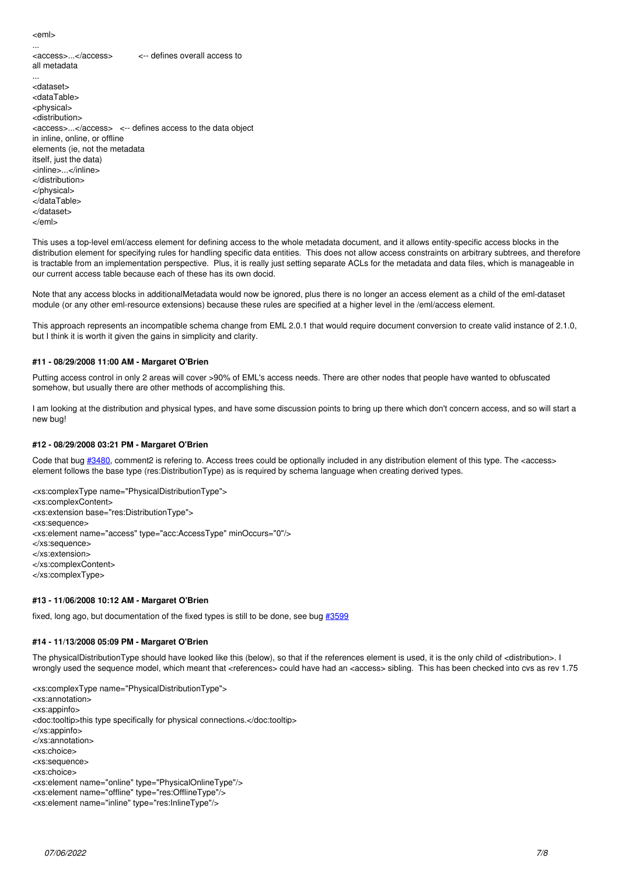<eml>

... <access>...</access> <-- defines overall access to all metadata

... <dataset> <dataTable> <physical> <distribution> <access>...</access> <-- defines access to the data object in inline, online, or offline elements (ie, not the metadata itself, just the data) <inline>...</inline> </distribution> </physical> </dataTable> </dataset> </eml>

This uses a top-level eml/access element for defining access to the whole metadata document, and it allows entity-specific access blocks in the distribution element for specifying rules for handling specific data entities. This does not allow access constraints on arbitrary subtrees, and therefore is tractable from an implementation perspective. Plus, it is really just setting separate ACLs for the metadata and data files, which is manageable in our current access table because each of these has its own docid.

Note that any access blocks in additionalMetadata would now be ignored, plus there is no longer an access element as a child of the eml-dataset module (or any other eml-resource extensions) because these rules are specified at a higher level in the /eml/access element.

This approach represents an incompatible schema change from EML 2.0.1 that would require document conversion to create valid instance of 2.1.0, but I think it is worth it given the gains in simplicity and clarity.

## **#11 - 08/29/2008 11:00 AM - Margaret O'Brien**

Putting access control in only 2 areas will cover >90% of EML's access needs. There are other nodes that people have wanted to obfuscated somehow, but usually there are other methods of accomplishing this.

I am looking at the distribution and physical types, and have some discussion points to bring up there which don't concern access, and so will start a new bug!

#### **#12 - 08/29/2008 03:21 PM - Margaret O'Brien**

Code that bug [#3480,](https://projects.ecoinformatics.org/ecoinfo/issues/3480) comment2 is refering to. Access trees could be optionally included in any distribution element of this type. The <access> element follows the base type (res:DistributionType) as is required by schema language when creating derived types.

<xs:complexType name="PhysicalDistributionType"> <xs:complexContent> <xs:extension base="res:DistributionType"> <xs:sequence> <xs:element name="access" type="acc:AccessType" minOccurs="0"/> </xs:sequence> </xs:extension> </xs:complexContent> </xs:complexType>

#### **#13 - 11/06/2008 10:12 AM - Margaret O'Brien**

fixed, long ago, but documentation of the fixed types is still to be done, see bug [#3599](https://projects.ecoinformatics.org/ecoinfo/issues/3599)

#### **#14 - 11/13/2008 05:09 PM - Margaret O'Brien**

The physicalDistributionType should have looked like this (below), so that if the references element is used, it is the only child of <distribution>. I wrongly used the sequence model, which meant that <references> could have had an <access> sibling. This has been checked into cvs as rev 1.75

<xs:complexType name="PhysicalDistributionType"> <xs:annotation> <xs:appinfo> <doc:tooltip>this type specifically for physical connections.</doc:tooltip> </xs:appinfo> </xs:annotation> <xs:choice> <xs:sequence> <xs:choice> <xs:element name="online" type="PhysicalOnlineType"/> <xs:element name="offline" type="res:OfflineType"/> <xs:element name="inline" type="res:InlineType"/>